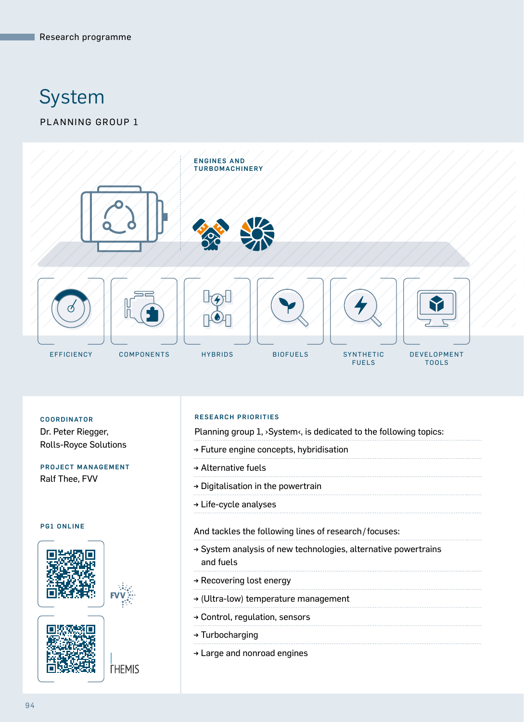# System

# PLANNING GROUP 1



Dr. Peter Riegger, Rolls-Royce Solutions

## PROJECT MANAGEMENT Ralf Thee, FVV

#### PG1 ONLINE







**THEMIS** 

#### RESEARCH PRIORITIES COORDINATOR

Planning group 1, >System<, is dedicated to the following topics:

- → Future engine concepts, hybridisation
- → Alternative fuels
- → Digitalisation in the powertrain
- → Life-cycle analyses

#### And tackles the following lines of research/focuses:

- → System analysis of new technologies, alternative powertrains and fuels
- → Recovering lost energy
- → (Ultra-low) temperature management
- → Control, regulation, sensors
- → Turbocharging
- → Large and nonroad engines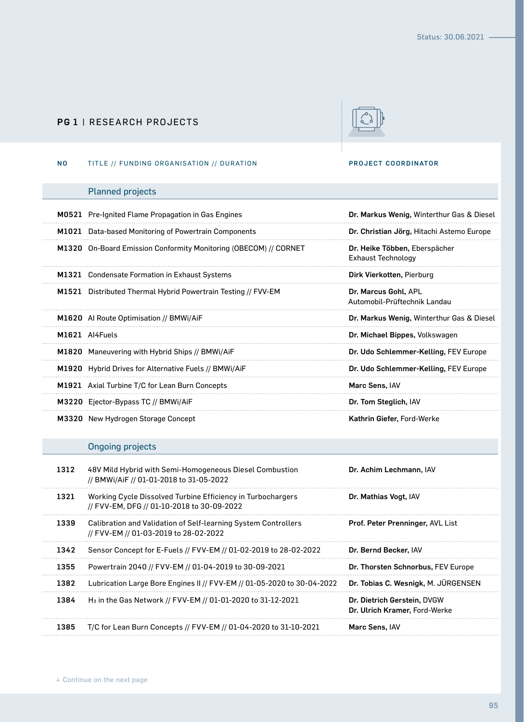## PG 1 | RESEARCH PROJECTS



#### NO TITLE // FUNDING ORGANISATION // DURATION PROJECT COORDINATOR

## Planned projects

|      | M0521 Pre-Ignited Flame Propagation in Gas Engines                                                        | Dr. Markus Wenig, Winterthur Gas & Diesel                  |
|------|-----------------------------------------------------------------------------------------------------------|------------------------------------------------------------|
|      | M1021 Data-based Monitoring of Powertrain Components                                                      | Dr. Christian Jörg, Hitachi Astemo Europe                  |
|      | M1320 On-Board Emission Conformity Monitoring (OBECOM) // CORNET                                          | Dr. Heike Többen, Eberspächer<br><b>Exhaust Technology</b> |
|      | M1321 Condensate Formation in Exhaust Systems                                                             | Dirk Vierkotten, Pierburg                                  |
|      | M1521 Distributed Thermal Hybrid Powertrain Testing // FVV-EM                                             | Dr. Marcus Gohl, APL<br>Automobil-Prüftechnik Landau       |
|      | M1620 Al Route Optimisation // BMWi/AiF                                                                   | Dr. Markus Wenig, Winterthur Gas & Diesel                  |
|      | M1621 Al4Fuels                                                                                            | Dr. Michael Bippes, Volkswagen                             |
|      | M1820 Maneuvering with Hybrid Ships // BMWi/AiF                                                           | Dr. Udo Schlemmer-Kelling, FEV Europe                      |
|      | M1920 Hybrid Drives for Alternative Fuels // BMWi/AiF                                                     | Dr. Udo Schlemmer-Kelling, FEV Europe                      |
|      | M1921 Axial Turbine T/C for Lean Burn Concepts                                                            | Marc Sens, IAV                                             |
|      | M3220 Ejector-Bypass TC // BMWi/AiF                                                                       | Dr. Tom Steglich, IAV                                      |
|      | M3320 New Hydrogen Storage Concept                                                                        | Kathrin Giefer, Ford-Werke                                 |
|      | <b>Ongoing projects</b>                                                                                   |                                                            |
| 1312 | 48V Mild Hybrid with Semi-Homogeneous Diesel Combustion<br>// BMWi/AiF // 01-01-2018 to 31-05-2022        | Dr. Achim Lechmann, IAV                                    |
| 1321 | Working Cycle Dissolved Turbine Efficiency in Turbochargers<br>// FVV-EM, DFG // 01-10-2018 to 30-09-2022 | Dr. Mathias Vogt, IAV                                      |
| 1339 | Calibration and Validation of Self-learning System Controllers<br>// FVV-EM // 01-03-2019 to 28-02-2022   | Prof. Peter Prenninger, AVL List                           |

1342 Sensor Concept for E-Fuels // FVV-EM // 01-02-2019 to 28-02-2022 Dr. Bernd Becker, IAV

1385 T/C for Lean Burn Concepts // FVV-EM // 01-04-2020 to 31-10-2021 Marc Sens, IAV

1384 H2 in the Gas Network // FVV-EM // 01-01-2020 to 31-12-2021 Dr. Dietrich Gerstein, DVGW

1355 Powertrain 2040 // FVV-EM // 01-04-2019 to 30-09-2021 Dr. Thorsten Schnorbus, FEV Europe 1382 Lubrication Large Bore Engines II // FVV-EM // 01-05-2020 to 30-04-2022 Dr. Tobias C. Wesnigk, M. JÜRGENSEN

. . . . . . . . . . . . . . . . . . .

. . . .

Dr. Ulrich Kramer, Ford-Werke